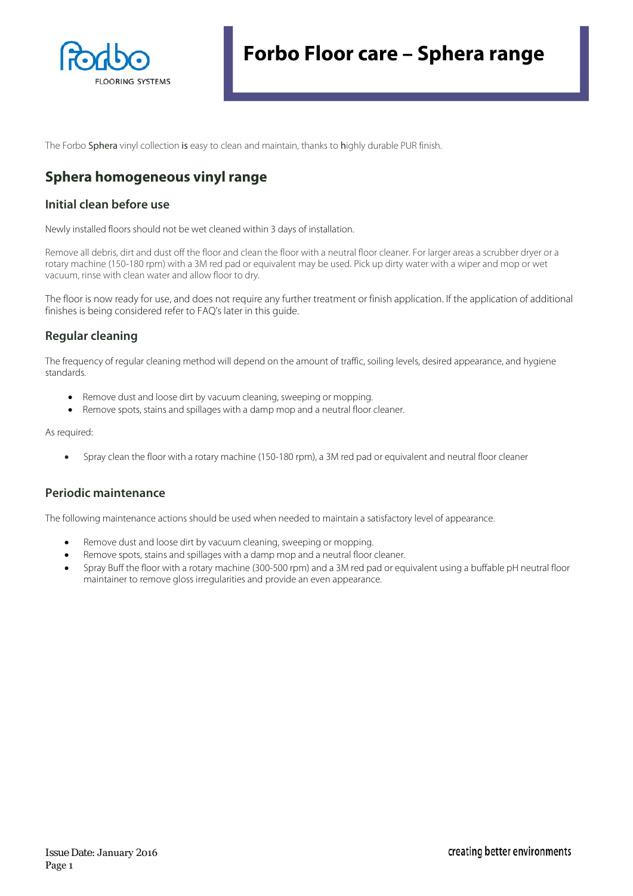

The Forbo Sphera vinyl collection is easy to clean and maintain, thanks to highly durable PUR finish.

# **Sphera homogeneous vinyl range**

## **Initial clean before use**

Newly installed floors should not be wet cleaned within 3 days of installation.

Remove all debris, dirt and dust off the floor and clean the floor with a neutral floor cleaner. For larger areas a scrubber dryer or a rotary machine (150-180 rpm) with a 3M red pad or equivalent may be used. Pick up dirty water with a wiper and mop or wet vacuum, rinse with clean water and allow floor to dry.

The floor is now ready for use, and does not require any further treatment or finish application. If the application of additional finishes is being considered refer to FAQ's later in this guide.

# **Regular cleaning**

The frequency of regular cleaning method will depend on the amount of traffic, soiling levels, desired appearance, and hygiene standards.

- Remove dust and loose dirt by vacuum cleaning, sweeping or mopping.
- Remove spots, stains and spillages with a damp mop and a neutral floor cleaner.

As required:

• Spray clean the floor with a rotary machine (150-180 rpm), a 3M red pad or equivalent and neutral floor cleaner

## **Periodic maintenance**

The following maintenance actions should be used when needed to maintain a satisfactory level of appearance.

- Remove dust and loose dirt by vacuum cleaning, sweeping or mopping.
- Remove spots, stains and spillages with a damp mop and a neutral floor cleaner.
- Spray Buff the floor with a rotary machine (300-500 rpm) and a 3M red pad or equivalent using a buffable pH neutral floor maintainer to remove gloss irregularities and provide an even appearance.